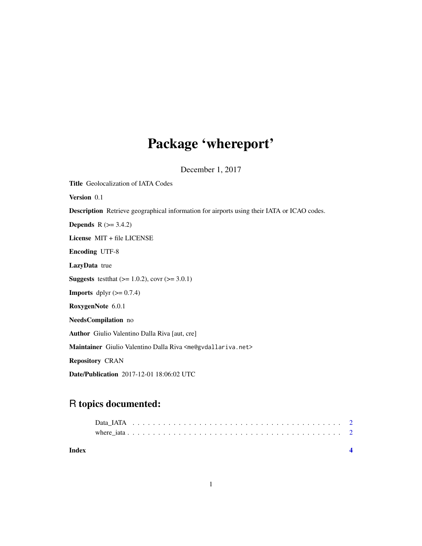# Package 'whereport'

December 1, 2017

| <b>Title</b> Geolocalization of IATA Codes                                                        |
|---------------------------------------------------------------------------------------------------|
| Version 0.1                                                                                       |
| <b>Description</b> Retrieve geographical information for airports using their IATA or ICAO codes. |
| <b>Depends</b> $R (= 3.4.2)$                                                                      |
| License $MIT + file LICENSE$                                                                      |
| <b>Encoding UTF-8</b>                                                                             |
| <b>LazyData</b> true                                                                              |
| <b>Suggests</b> test that $(>= 1.0.2)$ , covr $(>= 3.0.1)$                                        |
| <b>Imports</b> dplyr $(>= 0.7.4)$                                                                 |
| RoxygenNote 6.0.1                                                                                 |
| NeedsCompilation no                                                                               |
| <b>Author</b> Giulio Valentino Dalla Riva [aut, cre]                                              |
| Maintainer Giulio Valentino Dalla Riva <me@gvdallariva.net></me@gvdallariva.net>                  |
| <b>Repository CRAN</b>                                                                            |
| <b>Date/Publication</b> 2017-12-01 18:06:02 UTC                                                   |
|                                                                                                   |

## R topics documented:

| Index |  |  |  |  |  |  |  |  |  |  |  |  |  |  |  |  |  |  |  |
|-------|--|--|--|--|--|--|--|--|--|--|--|--|--|--|--|--|--|--|--|
|       |  |  |  |  |  |  |  |  |  |  |  |  |  |  |  |  |  |  |  |
|       |  |  |  |  |  |  |  |  |  |  |  |  |  |  |  |  |  |  |  |
|       |  |  |  |  |  |  |  |  |  |  |  |  |  |  |  |  |  |  |  |

1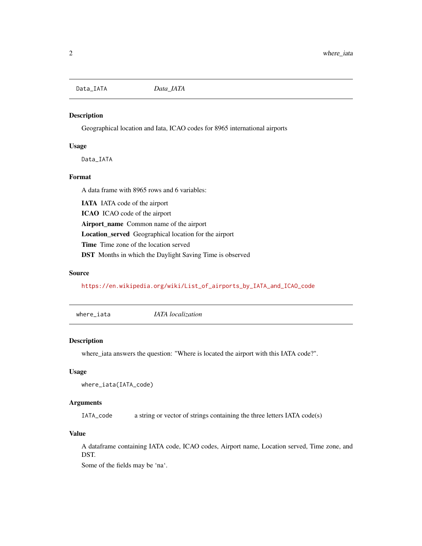<span id="page-1-0"></span>Data\_IATA *Data\_IATA*

#### Description

Geographical location and Iata, ICAO codes for 8965 international airports

#### Usage

Data\_IATA

#### Format

A data frame with 8965 rows and 6 variables:

IATA IATA code of the airport ICAO ICAO code of the airport Airport\_name Common name of the airport Location\_served Geographical location for the airport Time Time zone of the location served DST Months in which the Daylight Saving Time is observed

#### Source

[https://en.wikipedia.org/wiki/List\\_of\\_airports\\_by\\_IATA\\_and\\_ICAO\\_code](https://en.wikipedia.org/wiki/List_of_airports_by_IATA_and_ICAO_code)

where\_iata *IATA localization*

#### Description

where\_iata answers the question: "Where is located the airport with this IATA code?".

#### Usage

```
where_iata(IATA_code)
```
#### **Arguments**

IATA\_code a string or vector of strings containing the three letters IATA code(s)

#### Value

A dataframe containing IATA code, ICAO codes, Airport name, Location served, Time zone, and DST.

Some of the fields may be 'na'.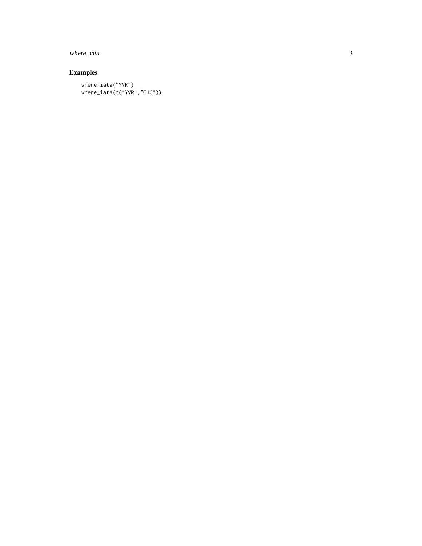where\_iata

### Examples

where\_iata("YVR") where\_iata(c("YVR","CHC"))